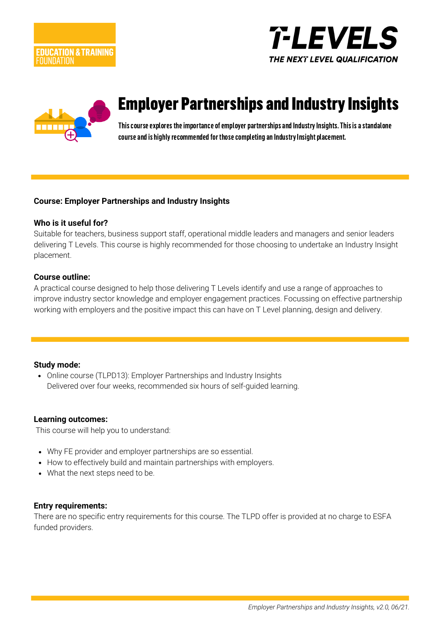





# Employer Partnerships and Industry Insights

This course explores the importance of employer partnerships and Industry Insights. This is a standalone course and is highly recommended for those completing an Industry Insight placement.

### **Course: Employer Partnerships and Industry Insights**

#### **Who is it useful for?**

Suitable for teachers, business support staff, operational middle leaders and managers and senior leaders delivering T Levels. This course is highly recommended for those choosing to undertake an Industry Insight placement.

#### **Course outline:**

A practical course designed to help those delivering T Levels identify and use a range of approaches to improve industry sector knowledge and employer engagement practices. Focussing on effective partnership working with employers and the positive impact this can have on T Level planning, design and delivery.

### **Study mode:**

• Online course (TLPD13): Employer Partnerships and Industry Insights Delivered over four weeks, recommended six hours of self-guided learning.

#### **Learning outcomes:**

This course will help you to understand:

- Why FE provider and employer partnerships are so essential.
- How to effectively build and maintain partnerships with employers.
- What the next steps need to be.

### **Entry requirements:**

There are no specific entry requirements for this course. The TLPD offer is provided at no charge to ESFA funded providers.